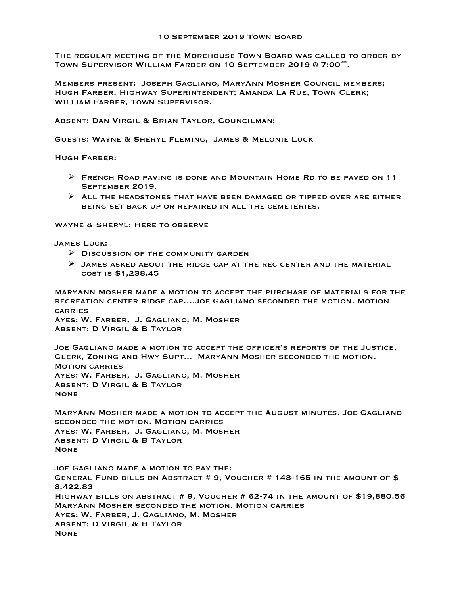The regular meeting of the Morehouse Town Board was called to order by TOWN SUPERVISOR WILLIAM FARBER ON 10 SEPTEMBER 2019 @ 7:00<sup>PM</sup>.

Members present: Joseph Gagliano, MaryAnn Mosher Council members; Hugh Farber, Highway Superintendent; Amanda La Rue, Town Clerk; William Farber, Town Supervisor.

Absent: Dan Virgil & Brian Taylor, Councilman;

Guests: Wayne & Sheryl Fleming, James & Melonie Luck

Hugh Farber:

- $\triangleright$  FRENCH ROAD PAVING IS DONE AND MOUNTAIN HOME RD TO BE PAVED ON 11 September 2019.
- $\triangleright$  ALL THE HEADSTONES THAT HAVE BEEN DAMAGED OR TIPPED OVER ARE EITHER being set back up or repaired in all the cemeteries.

Wayne & Sheryl: Here to observe

James Luck:

- $\triangleright$  Discussion of the community garden
- $\triangleright$  JAMES ASKED ABOUT THE RIDGE CAP AT THE REC CENTER AND THE MATERIAL cost is \$1,238.45

MaryAnn Mosher made a motion to accept the purchase of materials for the recreation center ridge cap….Joe Gagliano seconded the motion. Motion **CARRIES** 

Ayes: W. Farber, J. Gagliano, M. Mosher Absent: D Virgil & B Taylor

Joe Gagliano made a motion to accept the officer's reports of the Justice, Clerk, Zoning and Hwy Supt... MaryAnn Mosher seconded the motion. Motion carries Ayes: W. Farber, J. Gagliano, M. Mosher Absent: D Virgil & B Taylor **NONE** 

MaryAnn Mosher made a motion to accept the August minutes. Joe Gagliano seconded the motion. Motion carries Ayes: W. Farber, J. Gagliano, M. Mosher Absent: D Virgil & B Taylor None

Joe Gagliano made a motion to pay the: General Fund bills on Abstract # 9, Voucher # 148-165 in the amount of \$ 8,422.83 Highway bills on abstract # 9, Voucher # 62-74 in the amount of \$19,880.56 MaryAnn Mosher seconded the motion. Motion carries Ayes: W. Farber, J. Gagliano, M. Mosher Absent: D Virgil & B Taylor None